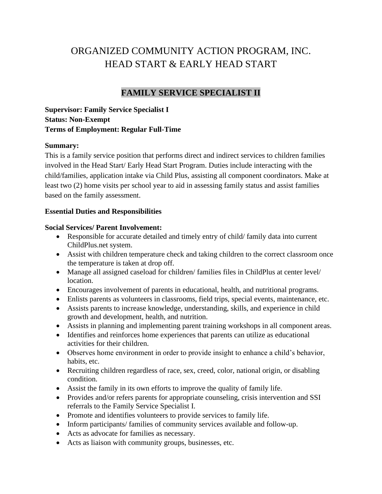# ORGANIZED COMMUNITY ACTION PROGRAM, INC. HEAD START & EARLY HEAD START

# **FAMILY SERVICE SPECIALIST II**

**Supervisor: Family Service Specialist I Status: Non-Exempt Terms of Employment: Regular Full-Time**

## **Summary:**

This is a family service position that performs direct and indirect services to children families involved in the Head Start/ Early Head Start Program. Duties include interacting with the child/families, application intake via Child Plus, assisting all component coordinators. Make at least two (2) home visits per school year to aid in assessing family status and assist families based on the family assessment.

## **Essential Duties and Responsibilities**

## **Social Services/ Parent Involvement:**

- Responsible for accurate detailed and timely entry of child/ family data into current ChildPlus.net system.
- Assist with children temperature check and taking children to the correct classroom once the temperature is taken at drop off.
- Manage all assigned caseload for children/ families files in ChildPlus at center level/ location.
- Encourages involvement of parents in educational, health, and nutritional programs.
- Enlists parents as volunteers in classrooms, field trips, special events, maintenance, etc.
- Assists parents to increase knowledge, understanding, skills, and experience in child growth and development, health, and nutrition.
- Assists in planning and implementing parent training workshops in all component areas.
- Identifies and reinforces home experiences that parents can utilize as educational activities for their children.
- Observes home environment in order to provide insight to enhance a child's behavior, habits, etc.
- Recruiting children regardless of race, sex, creed, color, national origin, or disabling condition.
- Assist the family in its own efforts to improve the quality of family life.
- Provides and/or refers parents for appropriate counseling, crisis intervention and SSI referrals to the Family Service Specialist I.
- Promote and identifies volunteers to provide services to family life.
- Inform participants/ families of community services available and follow-up.
- Acts as advocate for families as necessary.
- Acts as liaison with community groups, businesses, etc.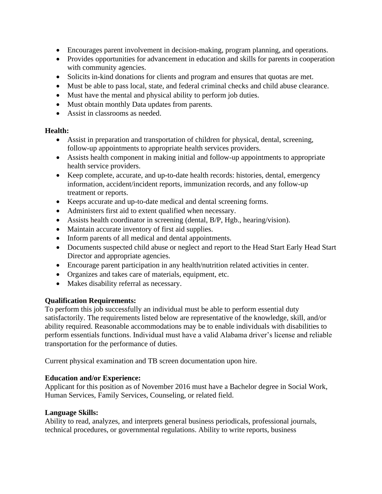- Encourages parent involvement in decision-making, program planning, and operations.
- Provides opportunities for advancement in education and skills for parents in cooperation with community agencies.
- Solicits in-kind donations for clients and program and ensures that quotas are met.
- Must be able to pass local, state, and federal criminal checks and child abuse clearance.
- Must have the mental and physical ability to perform job duties.
- Must obtain monthly Data updates from parents.
- Assist in classrooms as needed.

## **Health:**

- Assist in preparation and transportation of children for physical, dental, screening, follow-up appointments to appropriate health services providers.
- Assists health component in making initial and follow-up appointments to appropriate health service providers.
- Keep complete, accurate, and up-to-date health records: histories, dental, emergency information, accident/incident reports, immunization records, and any follow-up treatment or reports.
- Keeps accurate and up-to-date medical and dental screening forms.
- Administers first aid to extent qualified when necessary.
- Assists health coordinator in screening (dental, B/P, Hgb., hearing/vision).
- Maintain accurate inventory of first aid supplies.
- Inform parents of all medical and dental appointments.
- Documents suspected child abuse or neglect and report to the Head Start Early Head Start Director and appropriate agencies.
- Encourage parent participation in any health/nutrition related activities in center.
- Organizes and takes care of materials, equipment, etc.
- Makes disability referral as necessary.

## **Qualification Requirements:**

To perform this job successfully an individual must be able to perform essential duty satisfactorily. The requirements listed below are representative of the knowledge, skill, and/or ability required. Reasonable accommodations may be to enable individuals with disabilities to perform essentials functions. Individual must have a valid Alabama driver's license and reliable transportation for the performance of duties.

Current physical examination and TB screen documentation upon hire.

## **Education and/or Experience:**

Applicant for this position as of November 2016 must have a Bachelor degree in Social Work, Human Services, Family Services, Counseling, or related field.

## **Language Skills:**

Ability to read, analyzes, and interprets general business periodicals, professional journals, technical procedures, or governmental regulations. Ability to write reports, business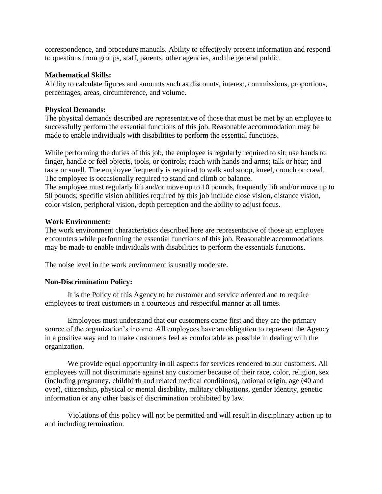correspondence, and procedure manuals. Ability to effectively present information and respond to questions from groups, staff, parents, other agencies, and the general public.

#### **Mathematical Skills:**

Ability to calculate figures and amounts such as discounts, interest, commissions, proportions, percentages, areas, circumference, and volume.

#### **Physical Demands:**

The physical demands described are representative of those that must be met by an employee to successfully perform the essential functions of this job. Reasonable accommodation may be made to enable individuals with disabilities to perform the essential functions.

While performing the duties of this job, the employee is regularly required to sit; use hands to finger, handle or feel objects, tools, or controls; reach with hands and arms; talk or hear; and taste or smell. The employee frequently is required to walk and stoop, kneel, crouch or crawl. The employee is occasionally required to stand and climb or balance.

The employee must regularly lift and/or move up to 10 pounds, frequently lift and/or move up to 50 pounds; specific vision abilities required by this job include close vision, distance vision, color vision, peripheral vision, depth perception and the ability to adjust focus.

#### **Work Environment:**

The work environment characteristics described here are representative of those an employee encounters while performing the essential functions of this job. Reasonable accommodations may be made to enable individuals with disabilities to perform the essentials functions.

The noise level in the work environment is usually moderate.

## **Non-Discrimination Policy:**

It is the Policy of this Agency to be customer and service oriented and to require employees to treat customers in a courteous and respectful manner at all times.

Employees must understand that our customers come first and they are the primary source of the organization's income. All employees have an obligation to represent the Agency in a positive way and to make customers feel as comfortable as possible in dealing with the organization.

We provide equal opportunity in all aspects for services rendered to our customers. All employees will not discriminate against any customer because of their race, color, religion, sex (including pregnancy, childbirth and related medical conditions), national origin, age (40 and over), citizenship, physical or mental disability, military obligations, gender identity, genetic information or any other basis of discrimination prohibited by law.

Violations of this policy will not be permitted and will result in disciplinary action up to and including termination.